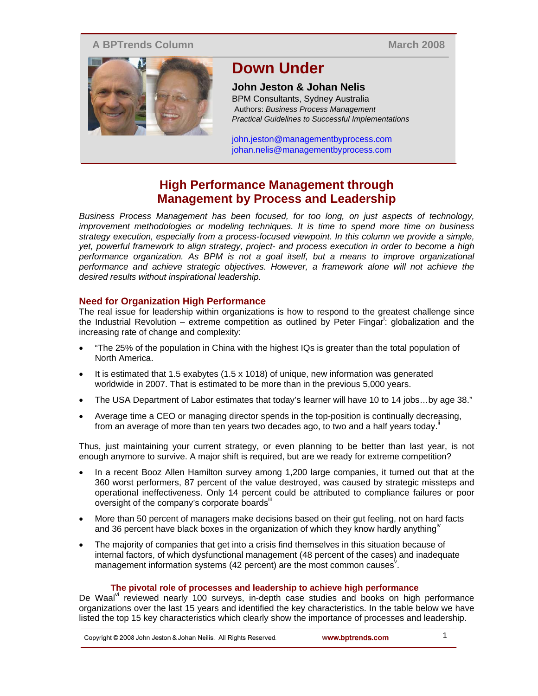### **A BPTrends Column**

**March 2008**



# **Down Under**

## **John Jeston & Johan Nelis**

BPM Consultants, Sydney Australia Authors: *Business Process Management Practical Guidelines to Successful Implementations*

john.jeston@managementbyprocess.com johan.nelis@managementbyprocess.com

## **High Performance Management through Management by Process and Leadership**

*Business Process Management has been focused, for too long, on just aspects of technology, improvement methodologies or modeling techniques. It is time to spend more time on business strategy execution, especially from a process-focused viewpoint. In this column we provide a simple, yet, powerful framework to align strategy, project- and process execution in order to become a high performance organization. As BPM is not a goal itself, but a means to improve organizational performance and achieve strategic objectives. However, a framework alone will not achieve the desired results without inspirational leadership.* 

## **Need for Organization High Performance**

The real issue for leadership within organizations is how to respond to the greatest challenge since the Industrial Revolution – extreme competition as outlined by Peter Fingar<sup>i</sup>: globalization and the increasing rate of change and complexity:

- "The 25% of the population in China with the highest IQs is greater than the total population of North America.
- $\bullet$  It is estimated that 1.5 exabytes (1.5 x 1018) of unique, new information was generated worldwide in 2007. That is estimated to be more than in the previous 5,000 years.
- The USA Department of Labor estimates that today's learner will have 10 to 14 jobs…by age 38."
- Average time a CEO or managing director spends in the top-position is continually decreasing, from an average of more than ten years two decades ago, to two and a half years today.<sup>ii</sup>

Thus, just maintaining your current strategy, or even planning to be better than last year, is not enough anymore to survive. A major shift is required, but are we ready for extreme competition?

- In a recent Booz Allen Hamilton survey among 1,200 large companies, it turned out that at the 360 worst performers, 87 percent of the value destroyed, was caused by strategic missteps and operational ineffectiveness. Only 14 percent could be attributed to compliance failures or poor oversight of the company's corporate boardsill
- More than 50 percent of managers make decisions based on their gut feeling, not on hard facts and 36 percent have black boxes in the organization of which they know hardly anything<sup>10</sup>
- The majority of companies that get into a crisis find themselves in this situation because of internal factors, of which dysfunctional management (48 percent of the cases) and inadequate management information systems (42 percent) are the most common causes.

### **The pivotal role of processes and leadership to achieve high performance**

De Waal<sup>vi</sup> reviewed nearly 100 surveys, in-depth case studies and books on high performance organizations over the last 15 years and identified the key characteristics. In the table below we have listed the top 15 key characteristics which clearly show the importance of processes and leadership.

1 Copyright © 2008 John Jeston & Johan Neilis. All Rights Reserved. www.bptrends.com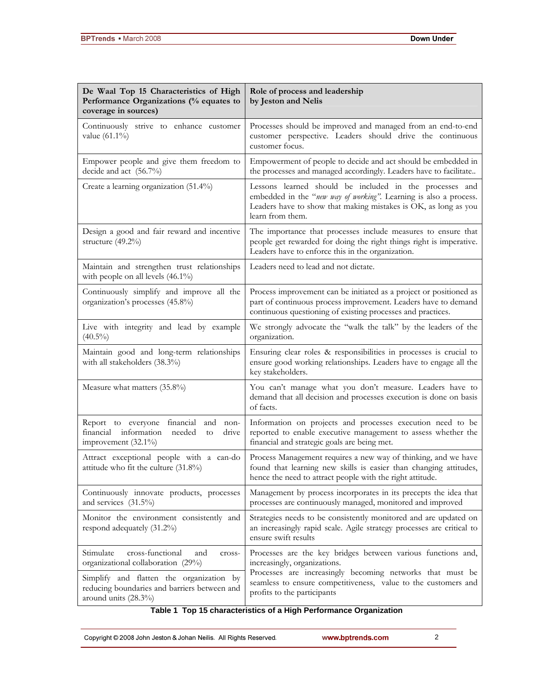| De Waal Top 15 Characteristics of High<br>Performance Organizations (% equates to<br>coverage in sources)               | Role of process and leadership<br>by Jeston and Nelis                                                                                                                                                                                                      |
|-------------------------------------------------------------------------------------------------------------------------|------------------------------------------------------------------------------------------------------------------------------------------------------------------------------------------------------------------------------------------------------------|
| Continuously strive to enhance customer<br>value (61.1%)                                                                | Processes should be improved and managed from an end-to-end<br>customer perspective. Leaders should drive the continuous<br>customer focus.                                                                                                                |
| Empower people and give them freedom to<br>decide and act (56.7%)                                                       | Empowerment of people to decide and act should be embedded in<br>the processes and managed accordingly. Leaders have to facilitate                                                                                                                         |
| Create a learning organization (51.4%)                                                                                  | Lessons learned should be included in the processes and<br>embedded in the "new way of working". Learning is also a process.<br>Leaders have to show that making mistakes is OK, as long as you<br>learn from them.                                        |
| Design a good and fair reward and incentive<br>structure (49.2%)                                                        | The importance that processes include measures to ensure that<br>people get rewarded for doing the right things right is imperative.<br>Leaders have to enforce this in the organization.                                                                  |
| Maintain and strengthen trust relationships<br>with people on all levels $(46.1\%)$                                     | Leaders need to lead and not dictate.                                                                                                                                                                                                                      |
| Continuously simplify and improve all the<br>organization's processes (45.8%)                                           | Process improvement can be initiated as a project or positioned as<br>part of continuous process improvement. Leaders have to demand<br>continuous questioning of existing processes and practices.                                                        |
| Live with integrity and lead by example<br>$(40.5\%)$                                                                   | We strongly advocate the "walk the talk" by the leaders of the<br>organization.                                                                                                                                                                            |
| Maintain good and long-term relationships<br>with all stakeholders (38.3%)                                              | Ensuring clear roles & responsibilities in processes is crucial to<br>ensure good working relationships. Leaders have to engage all the<br>key stakeholders.                                                                                               |
| Measure what matters (35.8%)                                                                                            | You can't manage what you don't measure. Leaders have to<br>demand that all decision and processes execution is done on basis<br>of facts.                                                                                                                 |
| financial<br>Report to everyone<br>and<br>non-<br>financial information<br>needed<br>drive<br>to<br>improvement (32.1%) | Information on projects and processes execution need to be<br>reported to enable executive management to assess whether the<br>financial and strategic goals are being met.                                                                                |
| Attract exceptional people with a can-do<br>attitude who fit the culture (31.8%)                                        | Process Management requires a new way of thinking, and we have<br>found that learning new skills is easier than changing attitudes,<br>hence the need to attract people with the right attitude.                                                           |
| Continuously innovate products, processes<br>and services (31.5%)                                                       | Management by process incorporates in its precepts the idea that<br>processes are continuously managed, monitored and improved                                                                                                                             |
| Monitor the environment consistently and<br>respond adequately (31.2%)                                                  | Strategies needs to be consistently monitored and are updated on<br>an increasingly rapid scale. Agile strategy processes are critical to<br>ensure swift results                                                                                          |
| Stimulate<br>cross-functional<br>and<br>cross-<br>organizational collaboration (29%)                                    | Processes are the key bridges between various functions and,<br>increasingly, organizations.<br>Processes are increasingly becoming networks that must be<br>seamless to ensure competitiveness, value to the customers and<br>profits to the participants |
| Simplify and flatten the organization by<br>reducing boundaries and barriers between and<br>around units (28.3%)        |                                                                                                                                                                                                                                                            |

## **Table 1 Top 15 characteristics of a High Performance Organization**

Copyright @ 2008 John Jeston & Johan Neilis. All Rights Reserved.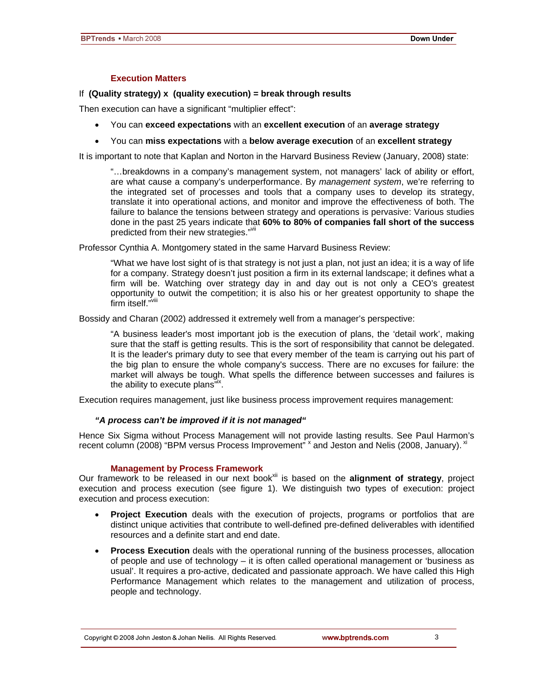#### **Execution Matters**

#### If **(Quality strategy) x (quality execution) = break through results**

Then execution can have a significant "multiplier effect":

- You can **exceed expectations** with an **excellent execution** of an **average strategy**
- You can **miss expectations** with a **below average execution** of an **excellent strategy**

It is important to note that Kaplan and Norton in the Harvard Business Review (January, 2008) state:

"…breakdowns in a company's management system, not managers' lack of ability or effort, are what cause a company's underperformance. By *management system*, we're referring to the integrated set of processes and tools that a company uses to develop its strategy, translate it into operational actions, and monitor and improve the effectiveness of both. The failure to balance the tensions between strategy and operations is pervasive: Various studies done in the past 25 years indicate that **60% to 80% of companies fall short of the success** predicted from their new strategies."vi

Professor Cynthia A. Montgomery stated in the same Harvard Business Review:

"What we have lost sight of is that strategy is not just a plan, not just an idea; it is a way of life for a company. Strategy doesn't just position a firm in its external landscape; it defines what a firm will be. Watching over strategy day in and day out is not only a CEO's greatest opportunity to outwit the competition; it is also his or her greatest opportunity to shape the firm itself. $\sqrt[n]{ }$ 

Bossidy and Charan (2002) addressed it extremely well from a manager's perspective:

"A business leader's most important job is the execution of plans, the 'detail work', making sure that the staff is getting results. This is the sort of responsibility that cannot be delegated. It is the leader's primary duty to see that every member of the team is carrying out his part of the big plan to ensure the whole company's success. There are no excuses for failure: the market will always be tough. What spells the difference between successes and failures is the ability to execute plans"<sup>ix</sup>.

Execution requires management, just like business process improvement requires management:

#### *"A process can't be improved if it is not managed"*

Hence Six Sigma without Process Management will not provide lasting results. See Paul Harmon's recent column (2008) "BPM versus Process Improvement" <sup>x</sup> and Jeston and Nelis (2008, January). <sup>xi</sup>

#### **Management by Process Framework**

Our framework to be released in our next book<sup>xii</sup> is based on the alignment of strategy, project execution and process execution (see figure 1). We distinguish two types of execution: project execution and process execution:

- **Project Execution** deals with the execution of projects, programs or portfolios that are distinct unique activities that contribute to well-defined pre-defined deliverables with identified resources and a definite start and end date.
- **Process Execution** deals with the operational running of the business processes, allocation of people and use of technology – it is often called operational management or 'business as usual'. It requires a pro-active, dedicated and passionate approach. We have called this High Performance Management which relates to the management and utilization of process, people and technology.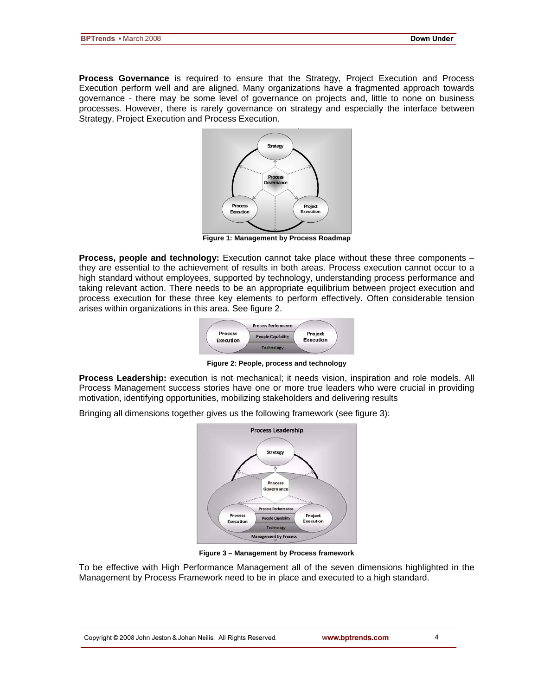**Process Governance** is required to ensure that the Strategy, Project Execution and Process Execution perform well and are aligned. Many organizations have a fragmented approach towards governance - there may be some level of governance on projects and, little to none on business processes. However, there is rarely governance on strategy and especially the interface between Strategy, Project Execution and Process Execution. **p**



**Figure 1: Management by Process Roadmap** 

**Process, people and technology:** Execution cannot take place without these three components – they are essential to the achievement of results in both areas. Process execution cannot occur to a high standard without employees, supported by technology, understanding process performance and taking relevant action. There needs to be an appropriate equilibrium between project execution and process execution for these three key elements to perform effectively. Often considerable tension arises within organizations in this area. See figure 2.



**Figure 2: People, process and technology**

**Process Leadership:** execution is not mechanical; it needs vision, inspiration and role models. All Process Management success stories have one or more true leaders who were crucial in providing motivation, identifying opportunities, mobilizing stakeholders and delivering results

Bringing all dimensions together gives us the following framework (see figure 3):



**Figure 3 – Management by Process framework** 

To be effective with High Performance Management all of the seven dimensions highlighted in the Management by Process Framework need to be in place and executed to a high standard.

4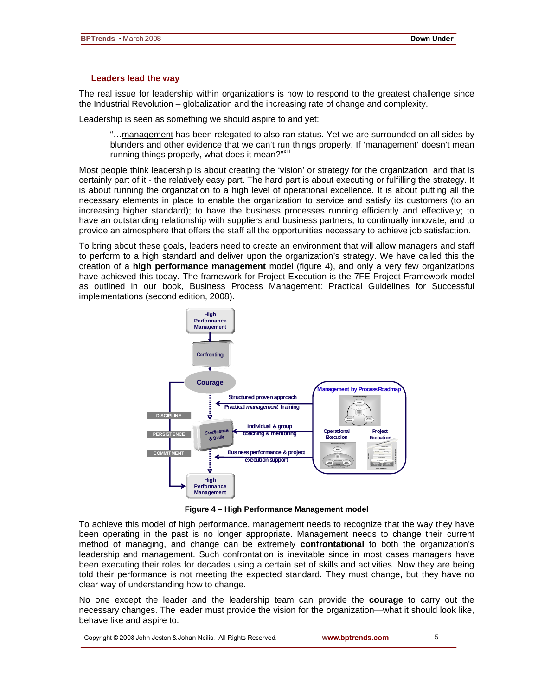#### **Leaders lead the way**

The real issue for leadership within organizations is how to respond to the greatest challenge since the Industrial Revolution – globalization and the increasing rate of change and complexity.

Leadership is seen as something we should aspire to and yet:

"…management has been relegated to also-ran status. Yet we are surrounded on all sides by blunders and other evidence that we can't run things properly. If 'management' doesn't mean running things properly, what does it mean?"<sup>Xiii</sup>

Most people think leadership is about creating the 'vision' or strategy for the organization, and that is certainly part of it - the relatively easy part. The hard part is about executing or fulfilling the strategy. It is about running the organization to a high level of operational excellence. It is about putting all the necessary elements in place to enable the organization to service and satisfy its customers (to an increasing higher standard); to have the business processes running efficiently and effectively; to have an outstanding relationship with suppliers and business partners; to continually innovate; and to provide an atmosphere that offers the staff all the opportunities necessary to achieve job satisfaction.

To bring about these goals, leaders need to create an environment that will allow managers and staff to perform to a high standard and deliver upon the organization's strategy. We have called this the creation of a **high performance management** model (figure 4), and only a very few organizations have achieved this today. The framework for Project Execution is the 7FE Project Framework model as outlined in our book, Business Process Management: Practical Guidelines for Successful implementations (second edition, 2008).



**Figure 4 – High Performance Management model** 

To achieve this model of high performance, management needs to recognize that the way they have been operating in the past is no longer appropriate. Management needs to change their current method of managing, and change can be extremely **confrontational** to both the organization's leadership and management. Such confrontation is inevitable since in most cases managers have been executing their roles for decades using a certain set of skills and activities. Now they are being told their performance is not meeting the expected standard. They must change, but they have no clear way of understanding how to change.

No one except the leader and the leadership team can provide the **courage** to carry out the necessary changes. The leader must provide the vision for the organization—what it should look like, behave like and aspire to.